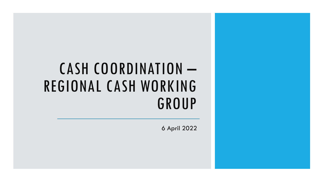# CASH COORDINATION – REGIONAL CASH WORKING GROUP

6 April 2022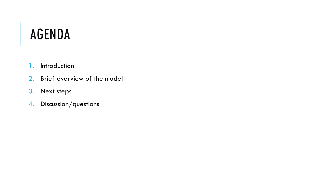# AGENDA

- 1. Introduction
- 2. Brief overview of the model
- 3. Next steps
- 4. Discussion/questions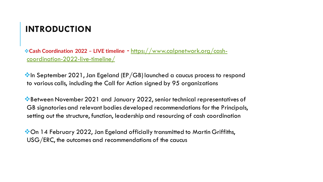### **INTRODUCTION**

❖**Cash Coordination 2022 – LIVE timeline -** https://www.calpnetwork.org/cashcoordination-2022-live-timeline/

 $\clubsuit$  In September 2021, Jan Egeland (EP/GB) launched a caucus process to respond to various calls, including the Call for Action signed by 95 organizations

❖Between November 2021 and January 2022, senior technical representatives of GB signatories and relevant bodies developed recommendations for the Principals, setting out the structure, function, leadership and resourcing of cash coordination

❖On 14 February 2022, Jan Egeland officially transmitted to Martin Griffiths, USG/ERC, the outcomes and recommendations of the caucus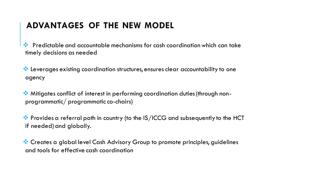#### **ADVANTAGES OF THE NEW MODEL**

❖ Predictable and accountable mechanisms for cash coordination which can take timely decisions as needed

❖ Leverages existing coordination structures, ensures clear accountability to one agency

❖ Mitigates conflict of interest in performing coordination duties (through nonprogrammatic/ programmatic co-chairs)

❖ Provides a referral path in country (to the IS/ICCG and subsequently to the HCT if needed) and globally.

❖ Creates a global level Cash Advisory Group to promote principles, guidelines and tools for effective cash coordination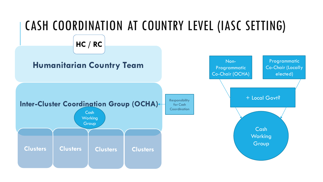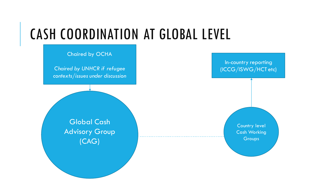## CASH COORDINATION AT GLOBAL LEVEL

#### Chaired by OCHA

*Chaired by UNHCR if refugee contexts/issues under discussion*

> Global Cash Advisory Group (CAG)